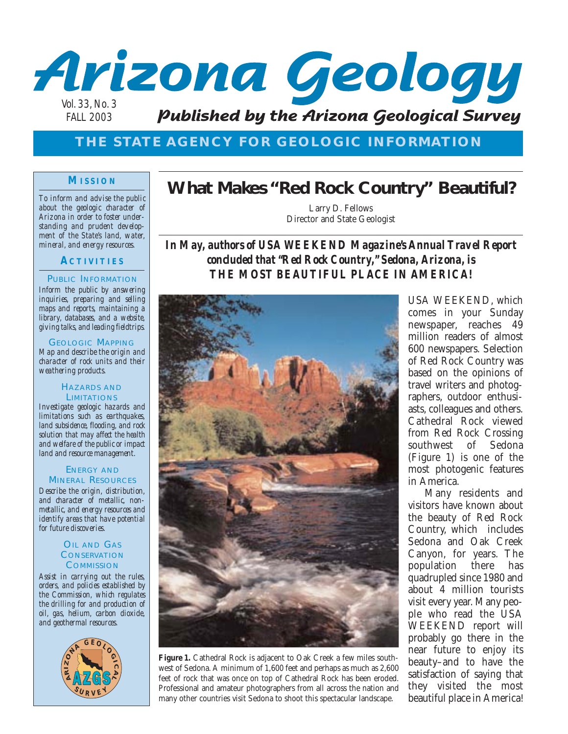

# **THE STATE AGENCY FOR GEOLOGIC INFORMATION**

## **MISSION**

*To inform and advise the public about the geologic character of Arizona in order to foster understanding and prudent development of the State's land, water, mineral, and energy resources.*

# **ACTIVITIES**

### PUBLIC INFORMATION

*Inform the public by answering inquiries, preparing and selling maps and reports, maintaining a library, databases, and a website, giving talks, and leading fieldtrips.*

GEOLOGIC MAPPING *Map and describe the origin and character of rock units and their weathering products.*

### HAZARDS AND **LIMITATIONS**

*Investigate geologic hazards and limitations such as earthquakes, land subsidence, flooding, and rock solution that may affect the health and welfare of the public or impact land and resource management.*

### ENERGY AND MINERAL RESOURCES

*Describe the origin, distribution, and character of metallic, nonmetallic, and energy resources and identify areas that have potential for future discoveries.*

### OIL AND GAS **CONSERVATION COMMISSION**

*Assist in carrying out the rules, orders, and policies established by the Commission, which regulates the drilling for and production of oil, gas, helium, carbon dioxide, and geothermal resources.*



# **What Makes "Red Rock Country" Beautiful?**

Larry D. Fellows Director and State Geologist

*In May, authors of USA WEEKEND Magazine's Annual Travel Report concluded that "Red Rock Country," Sedona, Arizona, is THE MOST BEAUTIFUL PLACE IN AMERICA!* 



**Figure 1.** Cathedral Rock is adjacent to Oak Creek a few miles southwest of Sedona. A minimum of 1,600 feet and perhaps as much as 2,600 feet of rock that was once on top of Cathedral Rock has been eroded. Professional and amateur photographers from all across the nation and many other countries visit Sedona to shoot this spectacular landscape.

USA WEEKEND, which comes in your Sunday newspaper, reaches 49 million readers of almost 600 newspapers. Selection of Red Rock Country was based on the opinions of travel writers and photographers, outdoor enthusiasts, colleagues and others. Cathedral Rock viewed from Red Rock Crossing southwest of Sedona (Figure 1) is one of the most photogenic features in America.

Many residents and visitors have known about the beauty of Red Rock Country, which includes Sedona and Oak Creek Canyon, for years. The population there has quadrupled since 1980 and about 4 million tourists visit every year. Many people who read the USA WEEKEND report will probably go there in the near future to enjoy its beauty–and to have the satisfaction of saying that they visited the most beautiful place in America!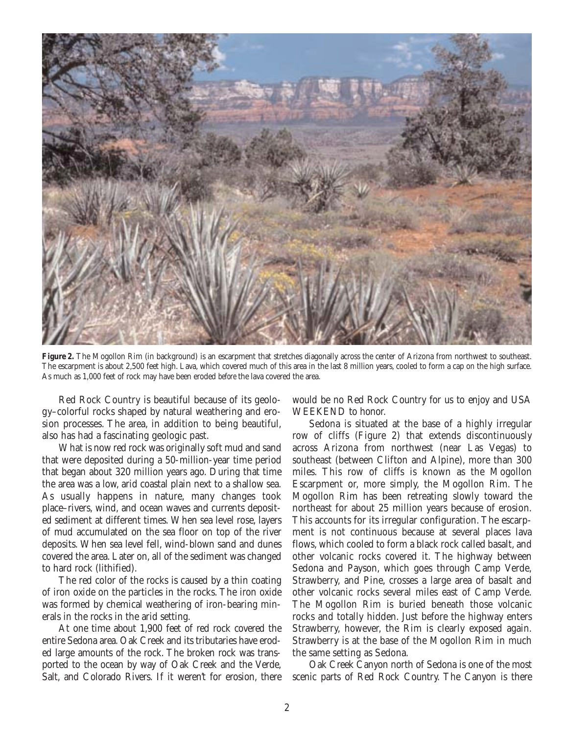

Figure 2. The Mogollon Rim (in background) is an escarpment that stretches diagonally across the center of Arizona from northwest to southeast. The escarpment is about 2,500 feet high. Lava, which covered much of this area in the last 8 million years, cooled to form a cap on the high surface. As much as 1,000 feet of rock may have been eroded *before* the lava covered the area.

Red Rock Country is beautiful because of its geology–colorful rocks shaped by natural weathering and erosion processes. The area, in addition to being beautiful, also has had a fascinating geologic past.

What is now red rock was originally soft mud and sand that were deposited during a 50-million-year time period that began about 320 million years ago. During that time the area was a low, arid coastal plain next to a shallow sea. As usually happens in nature, many changes took place–rivers, wind, and ocean waves and currents deposited sediment at different times. When sea level rose, layers of mud accumulated on the sea floor on top of the river deposits. When sea level fell, wind-blown sand and dunes covered the area. Later on, all of the sediment was changed to hard rock (lithified).

The red color of the rocks is caused by a thin coating of iron oxide on the particles in the rocks. The iron oxide was formed by chemical weathering of iron-bearing minerals in the rocks in the arid setting.

At one time about 1,900 feet of red rock covered the entire Sedona area. Oak Creek and its tributaries have eroded large amounts of the rock. The broken rock was transported to the ocean by way of Oak Creek and the Verde, Salt, and Colorado Rivers. If it weren't for erosion, there would be no Red Rock Country for us to enjoy and USA WEEKEND to honor.

Sedona is situated at the base of a highly irregular row of cliffs (Figure 2) that extends discontinuously across Arizona from northwest (near Las Vegas) to southeast (between Clifton and Alpine), more than 300 miles. This row of cliffs is known as the Mogollon Escarpment or, more simply, the Mogollon Rim. The Mogollon Rim has been retreating slowly toward the northeast for about 25 million years because of erosion. This accounts for its irregular configuration. The escarpment is not continuous because at several places lava flows, which cooled to form a black rock called basalt, and other volcanic rocks covered it. The highway between Sedona and Payson, which goes through Camp Verde, Strawberry, and Pine, crosses a large area of basalt and other volcanic rocks several miles east of Camp Verde. The Mogollon Rim is buried beneath those volcanic rocks and totally hidden. Just before the highway enters Strawberry, however, the Rim is clearly exposed again. Strawberry is at the base of the Mogollon Rim in much the same setting as Sedona.

Oak Creek Canyon north of Sedona is one of the most scenic parts of Red Rock Country. The Canyon is there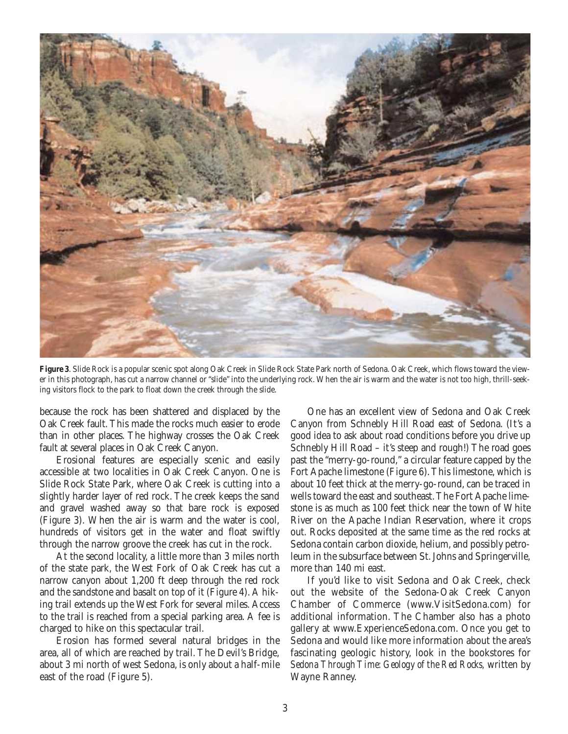

**Figure 3**. Slide Rock is a popular scenic spot along Oak Creek in Slide Rock State Park north of Sedona. Oak Creek, which flows toward the viewer in this photograph, has cut a narrow channel or "slide" into the underlying rock. When the air is warm and the water is not too high, thrill-seeking visitors flock to the park to float down the creek through the slide.

because the rock has been shattered and displaced by the Oak Creek fault. This made the rocks much easier to erode than in other places. The highway crosses the Oak Creek fault at several places in Oak Creek Canyon.

Erosional features are especially scenic and easily accessible at two localities in Oak Creek Canyon. One is Slide Rock State Park, where Oak Creek is cutting into a slightly harder layer of red rock. The creek keeps the sand and gravel washed away so that bare rock is exposed (Figure 3). When the air is warm and the water is cool, hundreds of visitors get in the water and float swiftly through the narrow groove the creek has cut in the rock.

At the second locality, a little more than 3 miles north of the state park, the West Fork of Oak Creek has cut a narrow canyon about 1,200 ft deep through the red rock and the sandstone and basalt on top of it (Figure 4). A hiking trail extends up the West Fork for several miles. Access to the trail is reached from a special parking area. A fee is charged to hike on this spectacular trail.

Erosion has formed several natural bridges in the area, all of which are reached by trail. The Devil's Bridge, about 3 mi north of west Sedona, is only about a half-mile east of the road (Figure 5).

One has an excellent view of Sedona and Oak Creek Canyon from Schnebly Hill Road east of Sedona. (It's a good idea to ask about road conditions before you drive up Schnebly Hill Road – it's steep and rough!) The road goes past the "merry-go-round," a circular feature capped by the Fort Apache limestone (Figure 6). This limestone, which is about 10 feet thick at the merry-go-round, can be traced in wells toward the east and southeast. The Fort Apache limestone is as much as 100 feet thick near the town of White River on the Apache Indian Reservation, where it crops out. Rocks deposited at the same time as the red rocks at Sedona contain carbon dioxide, helium, and possibly petroleum in the subsurface between St. Johns and Springerville, more than 140 mi east.

If you'd like to visit Sedona and Oak Creek, check out the website of the Sedona-Oak Creek Canyon Chamber of Commerce (www.VisitSedona.com) for additional information. The Chamber also has a photo gallery at www.ExperienceSedona.com. Once you get to Sedona and would like more information about the area's fascinating geologic history, look in the bookstores for *Sedona Through Time: Geology of the Red Rocks,* written by Wayne Ranney.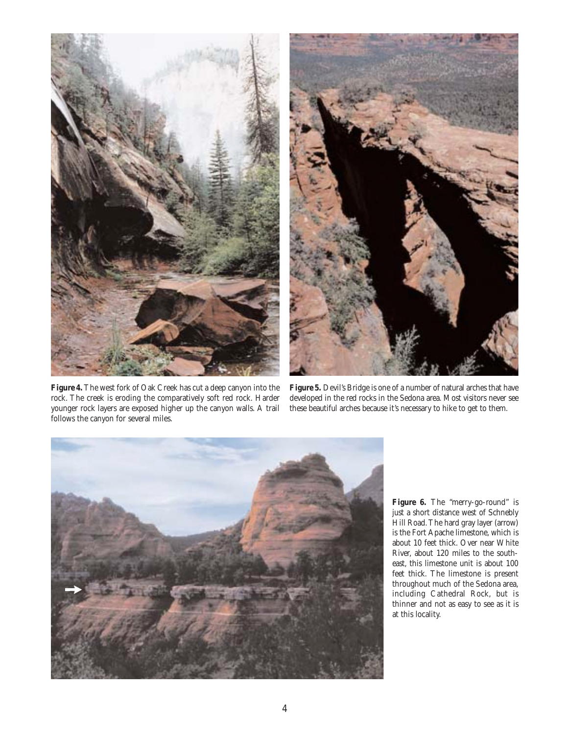



**Figure 4.** The west fork of Oak Creek has cut a deep canyon into the rock. The creek is eroding the comparatively soft red rock. Harder younger rock layers are exposed higher up the canyon walls. A trail follows the canyon for several miles.

**Figure 5.** Devil's Bridge is one of a number of natural arches that have developed in the red rocks in the Sedona area. Most visitors never see these beautiful arches because it's necessary to hike to get to them.



Figure 6. The "merry-go-round" is just a short distance west of Schnebly Hill Road. The hard gray layer (arrow) is the Fort Apache limestone, which is about 10 feet thick. Over near White River, about 120 miles to the southeast, this limestone unit is about 100 feet thick. The limestone is present throughout much of the Sedona area, including Cathedral Rock, but is thinner and not as easy to see as it is at this locality.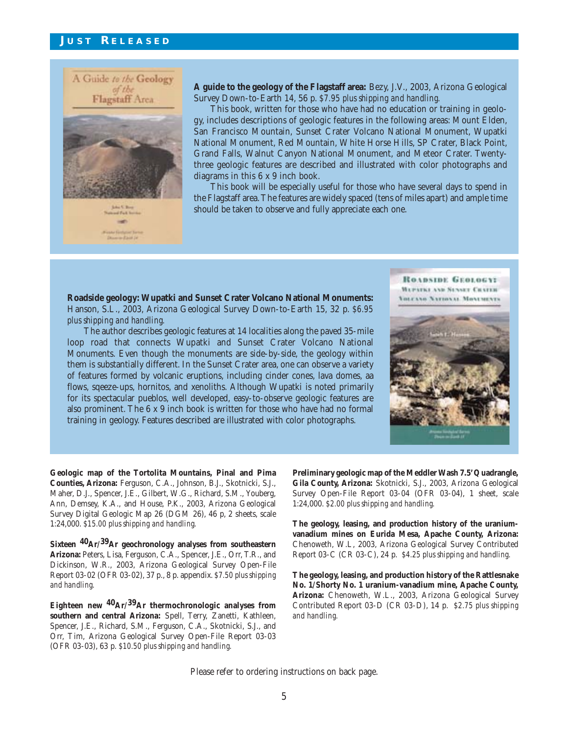

**A guide to the geology of the Flagstaff area:** Bezy, J.V., 2003, Arizona Geological Survey Down-to-Earth 14, 56 p. *\$7.95 plus shipping and handling.*

This book, written for those who have had no education or training in geology, includes descriptions of geologic features in the following areas: Mount Elden, San Francisco Mountain, Sunset Crater Volcano National Monument, Wupatki National Monument, Red Mountain, White Horse Hills, SP Crater, Black Point, Grand Falls, Walnut Canyon National Monument, and Meteor Crater. Twentythree geologic features are described and illustrated with color photographs and diagrams in this 6 x 9 inch book.

This book will be especially useful for those who have several days to spend in the Flagstaff area. The features are widely spaced (tens of miles apart) and ample time should be taken to observe and fully appreciate each one.

**Roadside geology: Wupatki and Sunset Crater Volcano National Monuments:** Hanson, S.L., 2003, Arizona Geological Survey Down-to-Earth 15, 32 p. *\$6.95 plus shipping and handling.*

The author describes geologic features at 14 localities along the paved 35-mile loop road that connects Wupatki and Sunset Crater Volcano National Monuments. Even though the monuments are side-by-side, the geology within them is substantially different. In the Sunset Crater area, one can observe a variety of features formed by volcanic eruptions, including cinder cones, lava domes, aa flows, sqeeze-ups, hornitos, and xenoliths. Although Wupatki is noted primarily for its spectacular pueblos, well developed, easy-to-observe geologic features are also prominent. The 6 x 9 inch book is written for those who have had no formal training in geology. Features described are illustrated with color photographs.

ROADSIDE GEOLOGY **MEPITKI AM SENSET CRATER** VOLCANO NATIONAL MONUMENTS



**Geologic map of the Tortolita Mountains, Pinal and Pima Counties, Arizona:** Ferguson, C.A., Johnson, B.J., Skotnicki, S.J., Maher, D.J., Spencer, J.E., Gilbert, W.G., Richard, S.M., Youberg, Ann, Demsey, K.A., and House, P.K., 2003, Arizona Geological Survey Digital Geologic Map 26 (DGM 26), 46 p, 2 sheets, scale 1:24,000. *\$15.00 plus shipping and handling.*

**Sixteen 40Ar/39Ar geochronology analyses from southeastern Arizona:** Peters, Lisa, Ferguson, C.A., Spencer, J.E., Orr, T.R., and Dickinson, W.R., 2003, Arizona Geological Survey Open-File Report 03-02 (OFR 03-02), 37 p., 8 p. appendix. *\$7.50 plus shipping and handling.*

**Eighteen new 40Ar/39Ar thermochronologic analyses from southern and central Arizona:** Spell, Terry, Zanetti, Kathleen, Spencer, J.E., Richard, S.M., Ferguson, C.A., Skotnicki, S.J., and Orr, Tim, Arizona Geological Survey Open-File Report 03-03 (OFR 03-03), 63 p. *\$10.50 plus shipping and handling.*

**Preliminary geologic map of the Meddler Wash 7.5' Quadrangle, Gila County, Arizona:** Skotnicki, S.J., 2003, Arizona Geological Survey Open-File Report 03-04 (OFR 03-04), 1 sheet, scale 1:24,000. *\$2.00 plus shipping and handling.*

**The geology, leasing, and production history of the uraniumvanadium mines on Eurida Mesa, Apache County, Arizona:** Chenoweth, W.L, 2003, Arizona Geological Survey Contributed Report 03-C (CR 03-C), 24 p. *\$4.25 plus shipping and handling.*

**The geology, leasing, and production history of the Rattlesnake No. 1/Shorty No. 1 uranium-vanadium mine, Apache County, Arizona:** Chenoweth, W.L., 2003, Arizona Geological Survey Contributed Report 03-D (CR 03-D), 14 p. *\$2.75 plus shipping and handling.*

Please refer to ordering instructions on back page.